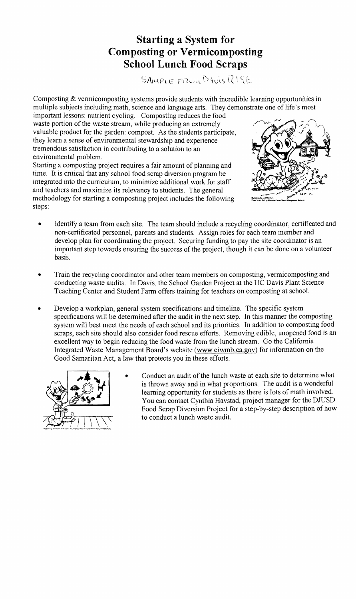## **Starting a System for Composting or Vermicomposting School Lunch Food Scraps**

SAMPLE FROM DAVIS RISE

Composting & vermicomposting systems provide students with incredible learning opportunities in multiple subjects including math, science and language arts. They demonstrate one of life's most

important lessons: nutrient cycling. Composting reduces the food waste portion of the waste stream, while producing an extremely valuable product for the garden: compost. As the students participate, they learn a sense of environmental stewardship and experience tremendous satisfaction in contributing to a solution to an environmental problem.

Starting a composting project requires a fair amount of planning and time. It is critical that any school food scrap diversion program be integrated into the curriculum, to minimize additional work for staff and teachers and maximize its relevancy to students. The general methodology for starting a composting project includes the following steps:



- Identify a team from each site. The team should include a recycling coordinator, certificated and non-certificated personnel, parents and students. Assign roles for each team member and develop plan for coordinating the project. Securing funding to pay the site coordinator is an important step towards ensuring the success of the project, though it can be done on a volunteer basis.
- Train the recycling coordinator and other team members on composting, vermicomposting and conducting waste audits. In Davis, the School Garden Project at the DC Davis Plant Science Teaching Center and Student Farm offers training for teachers on composting at school.
- Develop a workplan, general system specifications and timeline. The specific system specifications will be determined after the audit in the next step. In this manner the composting system will best meet the needs of each school and its priorities. In addition to composting food scraps, each site should also consider food rescue efforts. Removing edible, unopened food is an excellent way to begin reducing the food waste from the lunch stream. Go the California Integrated Waste Management Board's website (www.ciwmb.ca.gov) for information on the Good Samaritan Act, a law that protects you in these efforts.



Conduct an audit of the lunch waste at each site to determine what is thrown away and in what proportions. The audit is a wonderful learning opportunity for students as there is lots of math involved. You can contact Cynthia Havstad, project manager for the DJUSD Food Scrap Diversion Project for a step-by-step description of how to conduct a lunch waste audit.